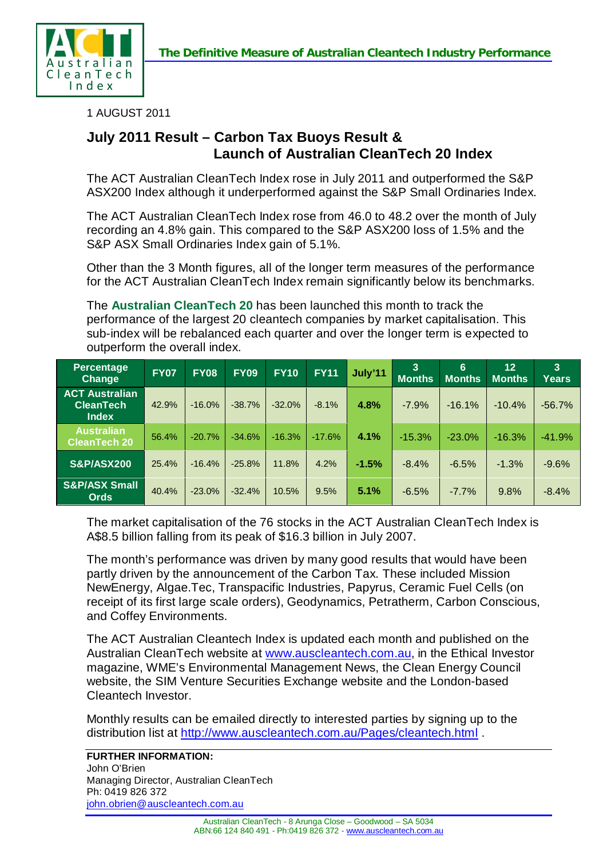



1 AUGUST 2011

## **July 2011 Result – Carbon Tax Buoys Result & Launch of Australian CleanTech 20 Index**

The ACT Australian CleanTech Index rose in July 2011 and outperformed the S&P ASX200 Index although it underperformed against the S&P Small Ordinaries Index.

The ACT Australian CleanTech Index rose from 46.0 to 48.2 over the month of July recording an 4.8% gain. This compared to the S&P ASX200 loss of 1.5% and the S&P ASX Small Ordinaries Index gain of 5.1%.

Other than the 3 Month figures, all of the longer term measures of the performance for the ACT Australian CleanTech Index remain significantly below its benchmarks.

The **Australian CleanTech 20** has been launched this month to track the performance of the largest 20 cleantech companies by market capitalisation. This sub-index will be rebalanced each quarter and over the longer term is expected to outperform the overall index.

| Percentage<br><b>Change</b>                               | <b>FY07</b> | <b>FY08</b> | <b>FY09</b> | <b>FY10</b> | <b>FY11</b> | July'11 | 3<br><b>Months</b> | 6<br><b>Months</b> | 12<br><b>Months</b> | 3<br>Years |
|-----------------------------------------------------------|-------------|-------------|-------------|-------------|-------------|---------|--------------------|--------------------|---------------------|------------|
| <b>ACT Australian</b><br><b>CleanTech</b><br><b>Index</b> | 42.9%       | $-16.0%$    | $-38.7%$    | $-32.0%$    | $-8.1%$     | 4.8%    | $-7.9%$            | $-16.1%$           | $-10.4%$            | $-56.7%$   |
| <b>Australian</b><br><b>CleanTech 20</b>                  | 56.4%       | $-20.7%$    | $-34.6%$    | $-16.3%$    | $-17.6%$    | 4.1%    | $-15.3%$           | $-23.0%$           | $-16.3%$            | $-41.9%$   |
| <b>S&amp;P/ASX200</b>                                     | 25.4%       | $-16.4%$    | $-25.8%$    | 11.8%       | 4.2%        | $-1.5%$ | $-8.4%$            | $-6.5%$            | $-1.3%$             | $-9.6%$    |
| <b>S&amp;P/ASX Small</b><br><b>Ords</b>                   | 40.4%       | $-23.0%$    | $-32.4%$    | 10.5%       | 9.5%        | 5.1%    | $-6.5%$            | $-7.7%$            | 9.8%                | $-8.4%$    |

The market capitalisation of the 76 stocks in the ACT Australian CleanTech Index is A\$8.5 billion falling from its peak of \$16.3 billion in July 2007.

The month's performance was driven by many good results that would have been partly driven by the announcement of the Carbon Tax. These included Mission NewEnergy, Algae.Tec, Transpacific Industries, Papyrus, Ceramic Fuel Cells (on receipt of its first large scale orders), Geodynamics, Petratherm, Carbon Conscious, and Coffey Environments.

The ACT Australian Cleantech Index is updated each month and published on the Australian CleanTech website at [www.auscleantech.com.au,](http://www.auscleantech.com.au/) in the Ethical Investor magazine, WME's Environmental Management News, the Clean Energy Council website, the SIM Venture Securities Exchange website and the London-based Cleantech Investor.

Monthly results can be emailed directly to interested parties by signing up to the distribution list at<http://www.auscleantech.com.au/Pages/cleantech.html> .

**FURTHER INFORMATION:**

John O'Brien Managing Director, Australian CleanTech Ph: 0419 826 372 [john.obrien@auscleantech.com.au](mailto:john.obrien@auscleantech.com.au)